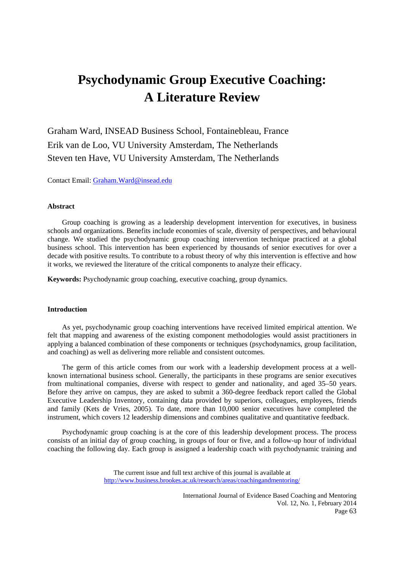# **Psychodynamic Group Executive Coaching: A Literature Review**

Graham Ward, INSEAD Business School, Fontainebleau, France Erik van de Loo, VU University Amsterdam, The Netherlands Steven ten Have, VU University Amsterdam, The Netherlands

Contact Email: Graham.Ward@insead.edu

#### **Abstract**

 Group coaching is growing as a leadership development intervention for executives, in business schools and organizations. Benefits include economies of scale, diversity of perspectives, and behavioural change. We studied the psychodynamic group coaching intervention technique practiced at a global business school. This intervention has been experienced by thousands of senior executives for over a decade with positive results. To contribute to a robust theory of why this intervention is effective and how it works, we reviewed the literature of the critical components to analyze their efficacy.

**Keywords:** Psychodynamic group coaching, executive coaching, group dynamics.

# **Introduction**

 As yet, psychodynamic group coaching interventions have received limited empirical attention. We felt that mapping and awareness of the existing component methodologies would assist practitioners in applying a balanced combination of these components or techniques (psychodynamics, group facilitation, and coaching) as well as delivering more reliable and consistent outcomes.

 The germ of this article comes from our work with a leadership development process at a wellknown international business school. Generally, the participants in these programs are senior executives from multinational companies, diverse with respect to gender and nationality, and aged 35–50 years. Before they arrive on campus, they are asked to submit a 360-degree feedback report called the Global Executive Leadership Inventory, containing data provided by superiors, colleagues, employees, friends and family (Kets de Vries, 2005). To date, more than 10,000 senior executives have completed the instrument, which covers 12 leadership dimensions and combines qualitative and quantitative feedback.

 Psychodynamic group coaching is at the core of this leadership development process. The process consists of an initial day of group coaching, in groups of four or five, and a follow-up hour of individual coaching the following day. Each group is assigned a leadership coach with psychodynamic training and

> The current issue and full text archive of this journal is available at http://www.business.brookes.ac.uk/research/areas/coachingandmentoring/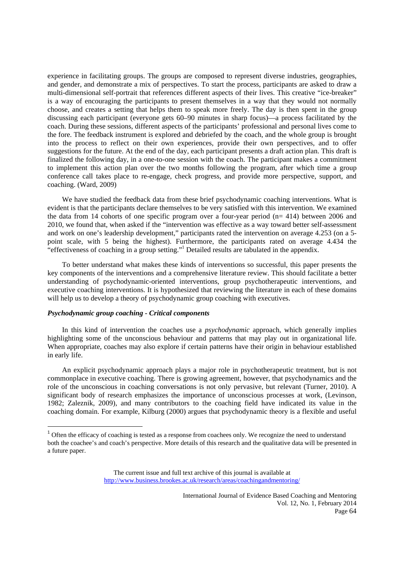experience in facilitating groups. The groups are composed to represent diverse industries, geographies, and gender, and demonstrate a mix of perspectives. To start the process, participants are asked to draw a multi-dimensional self-portrait that references different aspects of their lives. This creative "ice-breaker" is a way of encouraging the participants to present themselves in a way that they would not normally choose, and creates a setting that helps them to speak more freely. The day is then spent in the group discussing each participant (everyone gets 60–90 minutes in sharp focus)—a process facilitated by the coach. During these sessions, different aspects of the participants' professional and personal lives come to the fore. The feedback instrument is explored and debriefed by the coach, and the whole group is brought into the process to reflect on their own experiences, provide their own perspectives, and to offer suggestions for the future. At the end of the day, each participant presents a draft action plan. This draft is finalized the following day, in a one-to-one session with the coach. The participant makes a commitment to implement this action plan over the two months following the program, after which time a group conference call takes place to re-engage, check progress, and provide more perspective, support, and coaching. (Ward, 2009)

 We have studied the feedback data from these brief psychodynamic coaching interventions. What is evident is that the participants declare themselves to be very satisfied with this intervention. We examined the data from 14 cohorts of one specific program over a four-year period  $(n= 414)$  between 2006 and 2010, we found that, when asked if the "intervention was effective as a way toward better self-assessment and work on one's leadership development," participants rated the intervention on average 4.253 (on a 5 point scale, with 5 being the highest). Furthermore, the participants rated on average 4.434 the "effectiveness of coaching in a group setting."1 Detailed results are tabulated in the appendix.

 To better understand what makes these kinds of interventions so successful, this paper presents the key components of the interventions and a comprehensive literature review. This should facilitate a better understanding of psychodynamic-oriented interventions, group psychotherapeutic interventions, and executive coaching interventions. It is hypothesized that reviewing the literature in each of these domains will help us to develop a theory of psychodynamic group coaching with executives.

## *Psychodynamic group coaching - Critical components*

 In this kind of intervention the coaches use a *psychodynamic* approach, which generally implies highlighting some of the unconscious behaviour and patterns that may play out in organizational life. When appropriate, coaches may also explore if certain patterns have their origin in behaviour established in early life.

 An explicit psychodynamic approach plays a major role in psychotherapeutic treatment, but is not commonplace in executive coaching. There is growing agreement, however, that psychodynamics and the role of the unconscious in coaching conversations is not only pervasive, but relevant (Turner, 2010). A significant body of research emphasizes the importance of unconscious processes at work, (Levinson, 1982; Zaleznik, 2009), and many contributors to the coaching field have indicated its value in the coaching domain. For example, Kilburg (2000) argues that psychodynamic theory is a flexible and useful

<sup>&</sup>lt;sup>1</sup> Often the efficacy of coaching is tested as a response from coachees only. We recognize the need to understand both the coachee's and coach's perspective. More details of this research and the qualitative data will be presented in a future paper.

The current issue and full text archive of this journal is available at http://www.business.brookes.ac.uk/research/areas/coachingandmentoring/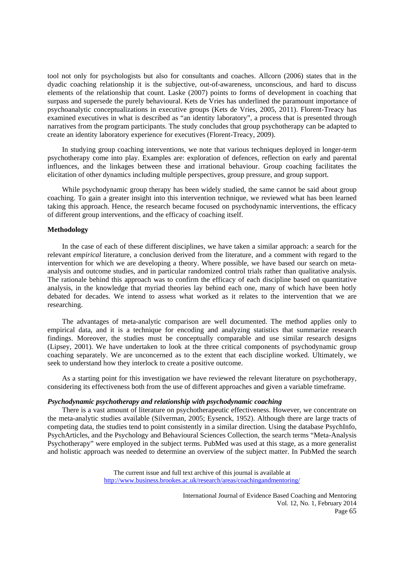tool not only for psychologists but also for consultants and coaches. Allcorn (2006) states that in the dyadic coaching relationship it is the subjective, out-of-awareness, unconscious, and hard to discuss elements of the relationship that count. Laske (2007) points to forms of development in coaching that surpass and supersede the purely behavioural. Kets de Vries has underlined the paramount importance of psychoanalytic conceptualizations in executive groups (Kets de Vries, 2005, 2011). Florent-Treacy has examined executives in what is described as "an identity laboratory", a process that is presented through narratives from the program participants. The study concludes that group psychotherapy can be adapted to create an identity laboratory experience for executives (Florent-Treacy, 2009).

 In studying group coaching interventions, we note that various techniques deployed in longer-term psychotherapy come into play. Examples are: exploration of defences, reflection on early and parental influences, and the linkages between these and irrational behaviour. Group coaching facilitates the elicitation of other dynamics including multiple perspectives, group pressure, and group support.

 While psychodynamic group therapy has been widely studied, the same cannot be said about group coaching. To gain a greater insight into this intervention technique, we reviewed what has been learned taking this approach. Hence, the research became focused on psychodynamic interventions, the efficacy of different group interventions, and the efficacy of coaching itself.

## **Methodology**

 In the case of each of these different disciplines, we have taken a similar approach: a search for the relevant *empirical* literature, a conclusion derived from the literature, and a comment with regard to the intervention for which we are developing a theory. Where possible, we have based our search on metaanalysis and outcome studies, and in particular randomized control trials rather than qualitative analysis. The rationale behind this approach was to confirm the efficacy of each discipline based on quantitative analysis, in the knowledge that myriad theories lay behind each one, many of which have been hotly debated for decades. We intend to assess what worked as it relates to the intervention that we are researching.

 The advantages of meta-analytic comparison are well documented. The method applies only to empirical data, and it is a technique for encoding and analyzing statistics that summarize research findings. Moreover, the studies must be conceptually comparable and use similar research designs (Lipsey, 2001). We have undertaken to look at the three critical components of psychodynamic group coaching separately. We are unconcerned as to the extent that each discipline worked. Ultimately, we seek to understand how they interlock to create a positive outcome.

 As a starting point for this investigation we have reviewed the relevant literature on psychotherapy, considering its effectiveness both from the use of different approaches and given a variable timeframe.

#### *Psychodynamic psychotherapy and relationship with psychodynamic coaching*

 There is a vast amount of literature on psychotherapeutic effectiveness. However, we concentrate on the meta-analytic studies available (Silverman, 2005; Eysenck, 1952). Although there are large tracts of competing data, the studies tend to point consistently in a similar direction. Using the database PsychInfo, PsychArticles, and the Psychology and Behavioural Sciences Collection, the search terms "Meta-Analysis Psychotherapy" were employed in the subject terms. PubMed was used at this stage, as a more generalist and holistic approach was needed to determine an overview of the subject matter. In PubMed the search

> The current issue and full text archive of this journal is available at http://www.business.brookes.ac.uk/research/areas/coachingandmentoring/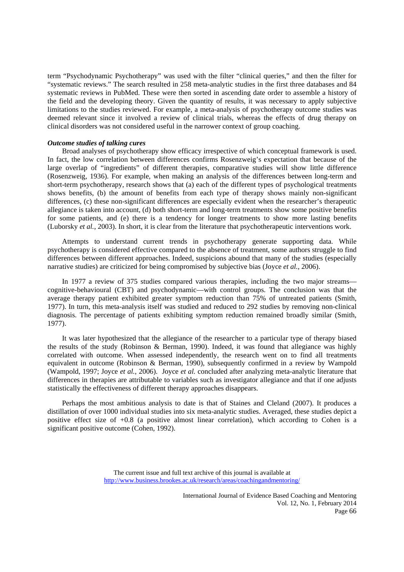term "Psychodynamic Psychotherapy" was used with the filter "clinical queries," and then the filter for "systematic reviews." The search resulted in 258 meta-analytic studies in the first three databases and 84 systematic reviews in PubMed. These were then sorted in ascending date order to assemble a history of the field and the developing theory. Given the quantity of results, it was necessary to apply subjective limitations to the studies reviewed. For example, a meta-analysis of psychotherapy outcome studies was deemed relevant since it involved a review of clinical trials, whereas the effects of drug therapy on clinical disorders was not considered useful in the narrower context of group coaching.

## *Outcome studies of talking cures*

 Broad analyses of psychotherapy show efficacy irrespective of which conceptual framework is used. In fact, the low correlation between differences confirms Rosenzweig's expectation that because of the large overlap of "ingredients" of different therapies, comparative studies will show little difference (Rosenzweig, 1936). For example, when making an analysis of the differences between long-term and short-term psychotherapy, research shows that (a) each of the different types of psychological treatments shows benefits, (b) the amount of benefits from each type of therapy shows mainly non-significant differences, (c) these non-significant differences are especially evident when the researcher's therapeutic allegiance is taken into account, (d) both short-term and long-term treatments show some positive benefits for some patients, and (e) there is a tendency for longer treatments to show more lasting benefits (Luborsky *et al.*, 2003). In short, it is clear from the literature that psychotherapeutic interventions work.

 Attempts to understand current trends in psychotherapy generate supporting data. While psychotherapy is considered effective compared to the absence of treatment, some authors struggle to find differences between different approaches. Indeed, suspicions abound that many of the studies (especially narrative studies) are criticized for being compromised by subjective bias (Joyce *et al.*, 2006).

 In 1977 a review of 375 studies compared various therapies, including the two major streams cognitive-behavioural (CBT) and psychodynamic—with control groups. The conclusion was that the average therapy patient exhibited greater symptom reduction than 75% of untreated patients (Smith, 1977). In turn, this meta-analysis itself was studied and reduced to 292 studies by removing non-clinical diagnosis. The percentage of patients exhibiting symptom reduction remained broadly similar (Smith, 1977).

 It was later hypothesized that the allegiance of the researcher to a particular type of therapy biased the results of the study (Robinson & Berman, 1990). Indeed, it was found that allegiance was highly correlated with outcome. When assessed independently, the research went on to find all treatments equivalent in outcome (Robinson & Berman, 1990), subsequently confirmed in a review by Wampold (Wampold, 1997; Joyce *et al.*, 2006). Joyce *et al.* concluded after analyzing meta-analytic literature that differences in therapies are attributable to variables such as investigator allegiance and that if one adjusts statistically the effectiveness of different therapy approaches disappears.

 Perhaps the most ambitious analysis to date is that of Staines and Cleland (2007). It produces a distillation of over 1000 individual studies into six meta-analytic studies. Averaged, these studies depict a positive effect size of +0.8 (a positive almost linear correlation), which according to Cohen is a significant positive outcome (Cohen, 1992).

> The current issue and full text archive of this journal is available at http://www.business.brookes.ac.uk/research/areas/coachingandmentoring/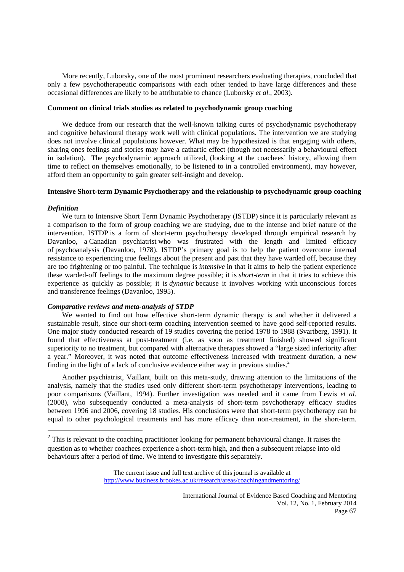More recently, Luborsky, one of the most prominent researchers evaluating therapies, concluded that only a few psychotherapeutic comparisons with each other tended to have large differences and these occasional differences are likely to be attributable to chance (Luborsky *et al.*, 2003).

# **Comment on clinical trials studies as related to psychodynamic group coaching**

 We deduce from our research that the well-known talking cures of psychodynamic psychotherapy and cognitive behavioural therapy work well with clinical populations. The intervention we are studying does not involve clinical populations however. What may be hypothesized is that engaging with others, sharing ones feelings and stories may have a cathartic effect (though not necessarily a behavioural effect in isolation). The psychodynamic approach utilized, (looking at the coachees' history, allowing them time to reflect on themselves emotionally, to be listened to in a controlled environment), may however, afford them an opportunity to gain greater self-insight and develop.

# **Intensive Short-term Dynamic Psychotherapy and the relationship to psychodynamic group coaching**

## *Definition*

 We turn to Intensive Short Term Dynamic Psychotherapy (ISTDP) since it is particularly relevant as a comparison to the form of group coaching we are studying, due to the intense and brief nature of the intervention. ISTDP is a form of short-term psychotherapy developed through empirical research by Davanloo, a Canadian psychiatrist who was frustrated with the length and limited efficacy of psychoanalysis (Davanloo, 1978). ISTDP's primary goal is to help the patient overcome internal resistance to experiencing true feelings about the present and past that they have warded off, because they are too frightening or too painful. The technique is *intensive* in that it aims to help the patient experience these warded-off feelings to the maximum degree possible; it is *short-term* in that it tries to achieve this experience as quickly as possible; it is *dynamic* because it involves working with unconscious forces and transference feelings (Davanloo, 1995).

### *Comparative reviews and meta-analysis of STDP*

 We wanted to find out how effective short-term dynamic therapy is and whether it delivered a sustainable result, since our short-term coaching intervention seemed to have good self-reported results. One major study conducted research of 19 studies covering the period 1978 to 1988 (Svartberg, 1991). It found that effectiveness at post-treatment (i.e. as soon as treatment finished) showed significant superiority to no treatment, but compared with alternative therapies showed a "large sized inferiority after a year." Moreover, it was noted that outcome effectiveness increased with treatment duration, a new finding in the light of a lack of conclusive evidence either way in previous studies. $2$ 

 Another psychiatrist, Vaillant, built on this meta-study, drawing attention to the limitations of the analysis, namely that the studies used only different short-term psychotherapy interventions, leading to poor comparisons (Vaillant, 1994). Further investigation was needed and it came from Lewis *et al.* (2008), who subsequently conducted a meta-analysis of short-term psychotherapy efficacy studies between 1996 and 2006, covering 18 studies. His conclusions were that short-term psychotherapy can be equal to other psychological treatments and has more efficacy than non-treatment, in the short-term.

 $2$  This is relevant to the coaching practitioner looking for permanent behavioural change. It raises the question as to whether coachees experience a short-term high, and then a subsequent relapse into old behaviours after a period of time. We intend to investigate this separately.

The current issue and full text archive of this journal is available at http://www.business.brookes.ac.uk/research/areas/coachingandmentoring/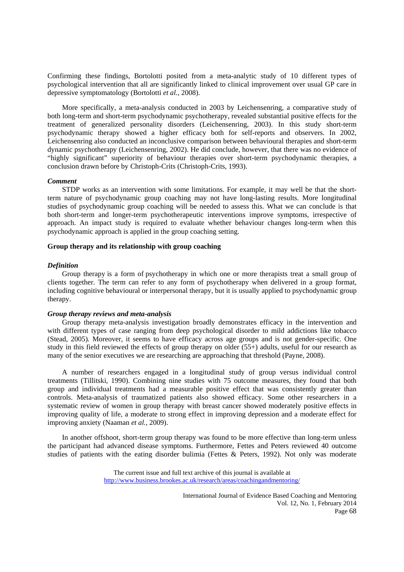Confirming these findings, Bortolotti posited from a meta-analytic study of 10 different types of psychological intervention that all are significantly linked to clinical improvement over usual GP care in depressive symptomatology (Bortolotti *et al.*, 2008).

 More specifically, a meta-analysis conducted in 2003 by Leichensenring, a comparative study of both long-term and short-term psychodynamic psychotherapy, revealed substantial positive effects for the treatment of generalized personality disorders (Leichensenring, 2003). In this study short-term psychodynamic therapy showed a higher efficacy both for self-reports and observers. In 2002, Leichensenring also conducted an inconclusive comparison between behavioural therapies and short-term dynamic psychotherapy (Leichensenring, 2002). He did conclude, however, that there was no evidence of "highly significant" superiority of behaviour therapies over short-term psychodynamic therapies, a conclusion drawn before by Christoph-Crits (Christoph-Crits, 1993).

## *Comment*

 STDP works as an intervention with some limitations. For example, it may well be that the shortterm nature of psychodynamic group coaching may not have long-lasting results. More longitudinal studies of psychodynamic group coaching will be needed to assess this. What we can conclude is that both short-term and longer-term psychotherapeutic interventions improve symptoms, irrespective of approach. An impact study is required to evaluate whether behaviour changes long-term when this psychodynamic approach is applied in the group coaching setting.

## **Group therapy and its relationship with group coaching**

# *Definition*

 Group therapy is a form of psychotherapy in which one or more therapists treat a small group of clients together. The term can refer to any form of psychotherapy when delivered in a group format, including cognitive behavioural or interpersonal therapy, but it is usually applied to psychodynamic group therapy.

#### *Group therapy reviews and meta-analysis*

 Group therapy meta-analysis investigation broadly demonstrates efficacy in the intervention and with different types of case ranging from deep psychological disorder to mild addictions like tobacco (Stead, 2005). Moreover, it seems to have efficacy across age groups and is not gender-specific. One study in this field reviewed the effects of group therapy on older (55+) adults, useful for our research as many of the senior executives we are researching are approaching that threshold (Payne, 2008).

 A number of researchers engaged in a longitudinal study of group versus individual control treatments (Tillitski, 1990). Combining nine studies with 75 outcome measures, they found that both group and individual treatments had a measurable positive effect that was consistently greater than controls. Meta-analysis of traumatized patients also showed efficacy. Some other researchers in a systematic review of women in group therapy with breast cancer showed moderately positive effects in improving quality of life, a moderate to strong effect in improving depression and a moderate effect for improving anxiety (Naaman *et al.*, 2009).

 In another offshoot, short-term group therapy was found to be more effective than long-term unless the participant had advanced disease symptoms. Furthermore, Fettes and Peters reviewed 40 outcome studies of patients with the eating disorder bulimia (Fettes & Peters, 1992). Not only was moderate

> The current issue and full text archive of this journal is available at http://www.business.brookes.ac.uk/research/areas/coachingandmentoring/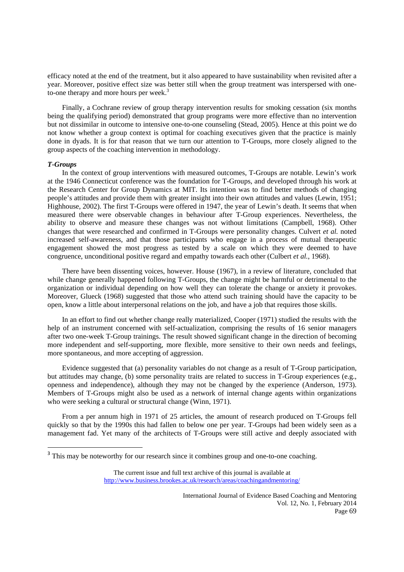efficacy noted at the end of the treatment, but it also appeared to have sustainability when revisited after a year. Moreover, positive effect size was better still when the group treatment was interspersed with oneto-one therapy and more hours per week.<sup>3</sup>

 Finally, a Cochrane review of group therapy intervention results for smoking cessation (six months being the qualifying period) demonstrated that group programs were more effective than no intervention but not dissimilar in outcome to intensive one-to-one counseling (Stead, 2005). Hence at this point we do not know whether a group context is optimal for coaching executives given that the practice is mainly done in dyads. It is for that reason that we turn our attention to T-Groups, more closely aligned to the group aspects of the coaching intervention in methodology.

#### *T-Groups*

 In the context of group interventions with measured outcomes, T-Groups are notable. Lewin's work at the 1946 Connecticut conference was the foundation for T-Groups, and developed through his work at the Research Center for Group Dynamics at MIT. Its intention was to find better methods of changing people's attitudes and provide them with greater insight into their own attitudes and values (Lewin, 1951; Highhouse, 2002). The first T-Groups were offered in 1947, the year of Lewin's death. It seems that when measured there were observable changes in behaviour after T-Group experiences. Nevertheless, the ability to observe and measure these changes was not without limitations (Campbell, 1968). Other changes that were researched and confirmed in T-Groups were personality changes. Culvert *et al.* noted increased self-awareness, and that those participants who engage in a process of mutual therapeutic engagement showed the most progress as tested by a scale on which they were deemed to have congruence, unconditional positive regard and empathy towards each other (Culbert *et al.*, 1968).

 There have been dissenting voices, however. House (1967), in a review of literature, concluded that while change generally happened following T-Groups, the change might be harmful or detrimental to the organization or individual depending on how well they can tolerate the change or anxiety it provokes. Moreover, Glueck (1968) suggested that those who attend such training should have the capacity to be open, know a little about interpersonal relations on the job, and have a job that requires those skills.

 In an effort to find out whether change really materialized, Cooper (1971) studied the results with the help of an instrument concerned with self-actualization, comprising the results of 16 senior managers after two one-week T-Group trainings. The result showed significant change in the direction of becoming more independent and self-supporting, more flexible, more sensitive to their own needs and feelings, more spontaneous, and more accepting of aggression.

 Evidence suggested that (a) personality variables do not change as a result of T-Group participation, but attitudes may change, (b) some personality traits are related to success in T-Group experiences (e.g., openness and independence), although they may not be changed by the experience (Anderson, 1973). Members of T-Groups might also be used as a network of internal change agents within organizations who were seeking a cultural or structural change (Winn, 1971).

 From a per annum high in 1971 of 25 articles, the amount of research produced on T-Groups fell quickly so that by the 1990s this had fallen to below one per year. T-Groups had been widely seen as a management fad. Yet many of the architects of T-Groups were still active and deeply associated with

<sup>&</sup>lt;sup>3</sup> This may be noteworthy for our research since it combines group and one-to-one coaching.

The current issue and full text archive of this journal is available at http://www.business.brookes.ac.uk/research/areas/coachingandmentoring/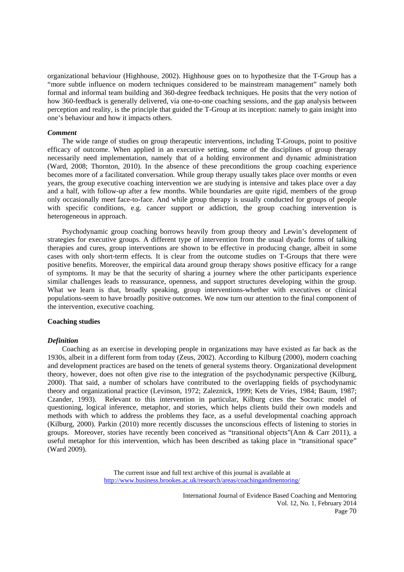organizational behaviour (Highhouse, 2002). Highhouse goes on to hypothesize that the T-Group has a "more subtle influence on modern techniques considered to be mainstream management" namely both formal and informal team building and 360-degree feedback techniques. He posits that the very notion of how 360-feedback is generally delivered, via one-to-one coaching sessions, and the gap analysis between perception and reality, is the principle that guided the T-Group at its inception: namely to gain insight into one's behaviour and how it impacts others.

#### *Comment*

 The wide range of studies on group therapeutic interventions, including T-Groups, point to positive efficacy of outcome. When applied in an executive setting, some of the disciplines of group therapy necessarily need implementation, namely that of a holding environment and dynamic administration (Ward, 2008; Thornton, 2010). In the absence of these preconditions the group coaching experience becomes more of a facilitated conversation. While group therapy usually takes place over months or even years, the group executive coaching intervention we are studying is intensive and takes place over a day and a half, with follow-up after a few months. While boundaries are quite rigid, members of the group only occasionally meet face-to-face. And while group therapy is usually conducted for groups of people with specific conditions, e.g. cancer support or addiction, the group coaching intervention is heterogeneous in approach.

 Psychodynamic group coaching borrows heavily from group theory and Lewin's development of strategies for executive groups. A different type of intervention from the usual dyadic forms of talking therapies and cures, group interventions are shown to be effective in producing change, albeit in some cases with only short-term effects. It is clear from the outcome studies on T-Groups that there were positive benefits. Moreover, the empirical data around group therapy shows positive efficacy for a range of symptoms. It may be that the security of sharing a journey where the other participants experience similar challenges leads to reassurance, openness, and support structures developing within the group. What we learn is that, broadly speaking, group interventions-whether with executives or clinical populations-seem to have broadly positive outcomes. We now turn our attention to the final component of the intervention, executive coaching.

## **Coaching studies**

## *Definition*

 Coaching as an exercise in developing people in organizations may have existed as far back as the 1930s, albeit in a different form from today (Zeus, 2002). According to Kilburg (2000), modern coaching and development practices are based on the tenets of general systems theory. Organizational development theory, however, does not often give rise to the integration of the psychodynamic perspective (Kilburg, 2000). That said, a number of scholars have contributed to the overlapping fields of psychodynamic theory and organizational practice (Levinson, 1972; Zaleznick, 1999; Kets de Vries, 1984; Baum, 1987; Czander, 1993). Relevant to this intervention in particular, Kilburg cites the Socratic model of questioning, logical inference, metaphor, and stories, which helps clients build their own models and methods with which to address the problems they face, as a useful developmental coaching approach (Kilburg, 2000). Parkin (2010) more recently discusses the unconscious effects of listening to stories in groups. Moreover, stories have recently been conceived as "transitional objects"(Ann & Carr 2011), a useful metaphor for this intervention, which has been described as taking place in "transitional space" (Ward 2009).

> The current issue and full text archive of this journal is available at http://www.business.brookes.ac.uk/research/areas/coachingandmentoring/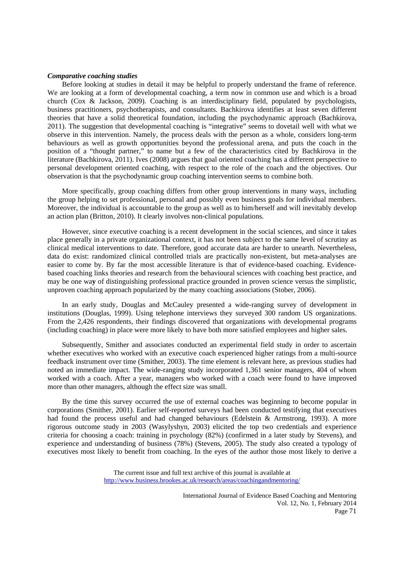#### *Comparative coaching studies*

 Before looking at studies in detail it may be helpful to properly understand the frame of reference. We are looking at a form of developmental coaching, a term now in common use and which is a broad church (Cox & Jackson, 2009). Coaching is an interdisciplinary field, populated by psychologists, business practitioners, psychotherapists, and consultants. Bachkirova identifies at least seven different theories that have a solid theoretical foundation, including the psychodynamic approach (Bachkirova, 2011). The suggestion that developmental coaching is "integrative" seems to dovetail well with what we observe in this intervention. Namely, the process deals with the person as a whole, considers long-term behaviours as well as growth opportunities beyond the professional arena, and puts the coach in the position of a "thought partner," to name but a few of the characteristics cited by Bachkirova in the literature (Bachkirova, 2011). Ives (2008) argues that goal oriented coaching has a different perspective to personal development oriented coaching, with respect to the role of the coach and the objectives. Our observation is that the psychodynamic group coaching intervention seems to combine both.

 More specifically, group coaching differs from other group interventions in many ways, including the group helping to set professional, personal and possibly even business goals for individual members. Moreover, the individual is accountable to the group as well as to him/herself and will inevitably develop an action plan (Britton, 2010). It clearly involves non-clinical populations.

 However, since executive coaching is a recent development in the social sciences, and since it takes place generally in a private organizational context, it has not been subject to the same level of scrutiny as clinical medical interventions to date. Therefore, good accurate data are harder to unearth. Nevertheless, data do exist: randomized clinical controlled trials are practically non-existent, but meta-analyses are easier to come by. By far the most accessible literature is that of evidence-based coaching. Evidencebased coaching links theories and research from the behavioural sciences with coaching best practice, and may be one wa**y** of distinguishing professional practice grounded in proven science versus the simplistic, unproven coaching approach popularized by the many coaching associations (Stober, 2006).

 In an early study, Douglas and McCauley presented a wide-ranging survey of development in institutions (Douglas, 1999). Using telephone interviews they surveyed 300 random US organizations. From the 2,426 respondents, their findings discovered that organizations with developmental programs (including coaching) in place were more likely to have both more satisfied employees and higher sales.

 Subsequently, Smither and associates conducted an experimental field study in order to ascertain whether executives who worked with an executive coach experienced higher ratings from a multi-source feedback instrument over time (Smither, 2003). The time element is relevant here, as previous studies had noted an immediate impact. The wide-ranging study incorporated 1,361 senior managers, 404 of whom worked with a coach. After a year, managers who worked with a coach were found to have improved more than other managers, although the effect size was small.

 By the time this survey occurred the use of external coaches was beginning to become popular in corporations (Smither, 2001). Earlier self-reported surveys had been conducted testifying that executives had found the process useful and had changed behaviours (Edelstein & Armstrong, 1993). A more rigorous outcome study in 2003 (Wasylyshyn, 2003) elicited the top two credentials and experience criteria for choosing a coach: training in psychology (82%) (confirmed in a later study by Stevens), and experience and understanding of business (78%) (Stevens, 2005). The study also created a typology of executives most likely to benefit from coaching. In the eyes of the author those most likely to derive a

> The current issue and full text archive of this journal is available at http://www.business.brookes.ac.uk/research/areas/coachingandmentoring/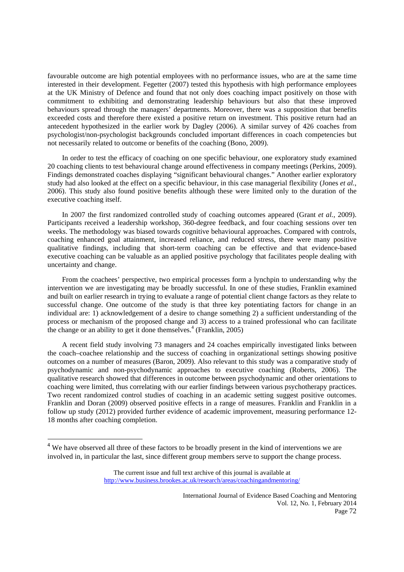favourable outcome are high potential employees with no performance issues, who are at the same time interested in their development. Fegetter (2007) tested this hypothesis with high performance employees at the UK Ministry of Defence and found that not only does coaching impact positively on those with commitment to exhibiting and demonstrating leadership behaviours but also that these improved behaviours spread through the managers' departments. Moreover, there was a supposition that benefits exceeded costs and therefore there existed a positive return on investment. This positive return had an antecedent hypothesized in the earlier work by Dagley (2006). A similar survey of 426 coaches from psychologist/non-psychologist backgrounds concluded important differences in coach competencies but not necessarily related to outcome or benefits of the coaching (Bono, 2009).

 In order to test the efficacy of coaching on one specific behaviour, one exploratory study examined 20 coaching clients to test behavioural change around effectiveness in company meetings (Perkins, 2009). Findings demonstrated coaches displaying "significant behavioural changes." Another earlier exploratory study had also looked at the effect on a specific behaviour, in this case managerial flexibility (Jones *et al.*, 2006). This study also found positive benefits although these were limited only to the duration of the executive coaching itself.

 In 2007 the first randomized controlled study of coaching outcomes appeared (Grant *et al.*, 2009). Participants received a leadership workshop, 360-degree feedback, and four coaching sessions over ten weeks. The methodology was biased towards cognitive behavioural approaches. Compared with controls, coaching enhanced goal attainment, increased reliance, and reduced stress, there were many positive qualitative findings, including that short-term coaching can be effective and that evidence-based executive coaching can be valuable as an applied positive psychology that facilitates people dealing with uncertainty and change.

 From the coachees' perspective, two empirical processes form a lynchpin to understanding why the intervention we are investigating may be broadly successful. In one of these studies, Franklin examined and built on earlier research in trying to evaluate a range of potential client change factors as they relate to successful change. One outcome of the study is that three key potentiating factors for change in an individual are: 1) acknowledgement of a desire to change something 2) a sufficient understanding of the process or mechanism of the proposed change and 3) access to a trained professional who can facilitate the change or an ability to get it done themselves.<sup>4</sup> (Franklin, 2005)

 A recent field study involving 73 managers and 24 coaches empirically investigated links between the coach–coachee relationship and the success of coaching in organizational settings showing positive outcomes on a number of measures (Baron, 2009). Also relevant to this study was a comparative study of psychodynamic and non-psychodynamic approaches to executive coaching (Roberts, 2006). The qualitative research showed that differences in outcome between psychodynamic and other orientations to coaching were limited, thus correlating with our earlier findings between various psychotherapy practices. Two recent randomized control studies of coaching in an academic setting suggest positive outcomes. Franklin and Doran (2009) observed positive effects in a range of measures. Franklin and Franklin in a follow up study (2012) provided further evidence of academic improvement, measuring performance 12- 18 months after coaching completion.

<sup>&</sup>lt;sup>4</sup> We have observed all three of these factors to be broadly present in the kind of interventions we are involved in, in particular the last, since different group members serve to support the change process.

The current issue and full text archive of this journal is available at http://www.business.brookes.ac.uk/research/areas/coachingandmentoring/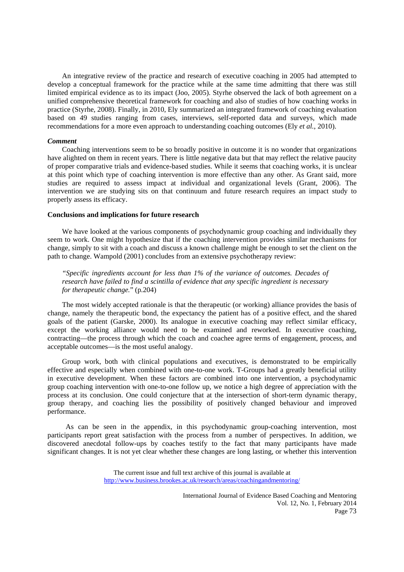An integrative review of the practice and research of executive coaching in 2005 had attempted to develop a conceptual framework for the practice while at the same time admitting that there was still limited empirical evidence as to its impact (Joo, 2005). Styrhe observed the lack of both agreement on a unified comprehensive theoretical framework for coaching and also of studies of how coaching works in practice (Styrhe, 2008). Finally, in 2010, Ely summarized an integrated framework of coaching evaluation based on 49 studies ranging from cases, interviews, self-reported data and surveys, which made recommendations for a more even approach to understanding coaching outcomes (Ely *et al.*, 2010).

## *Comment*

 Coaching interventions seem to be so broadly positive in outcome it is no wonder that organizations have alighted on them in recent years. There is little negative data but that may reflect the relative paucity of proper comparative trials and evidence-based studies. While it seems that coaching works, it is unclear at this point which type of coaching intervention is more effective than any other. As Grant said, more studies are required to assess impact at individual and organizational levels (Grant, 2006). The intervention we are studying sits on that continuum and future research requires an impact study to properly assess its efficacy.

## **Conclusions and implications for future research**

 We have looked at the various components of psychodynamic group coaching and individually they seem to work. One might hypothesize that if the coaching intervention provides similar mechanisms for change, simply to sit with a coach and discuss a known challenge might be enough to set the client on the path to change. Wampold (2001) concludes from an extensive psychotherapy review:

*"Specific ingredients account for less than 1% of the variance of outcomes. Decades of research have failed to find a scintilla of evidence that any specific ingredient is necessary for therapeutic change.*" (p.204)

 The most widely accepted rationale is that the therapeutic (or working) alliance provides the basis of change, namely the therapeutic bond, the expectancy the patient has of a positive effect, and the shared goals of the patient (Garske, 2000). Its analogue in executive coaching may reflect similar efficacy, except the working alliance would need to be examined and reworked. In executive coaching, contracting—the process through which the coach and coachee agree terms of engagement, process, and acceptable outcomes—is the most useful analogy.

 Group work, both with clinical populations and executives, is demonstrated to be empirically effective and especially when combined with one-to-one work. T-Groups had a greatly beneficial utility in executive development. When these factors are combined into one intervention, a psychodynamic group coaching intervention with one-to-one follow up, we notice a high degree of appreciation with the process at its conclusion. One could conjecture that at the intersection of short-term dynamic therapy, group therapy, and coaching lies the possibility of positively changed behaviour and improved performance.

 As can be seen in the appendix, in this psychodynamic group-coaching intervention, most participants report great satisfaction with the process from a number of perspectives. In addition, we discovered anecdotal follow-ups by coaches testify to the fact that many participants have made significant changes. It is not yet clear whether these changes are long lasting, or whether this intervention

> The current issue and full text archive of this journal is available at http://www.business.brookes.ac.uk/research/areas/coachingandmentoring/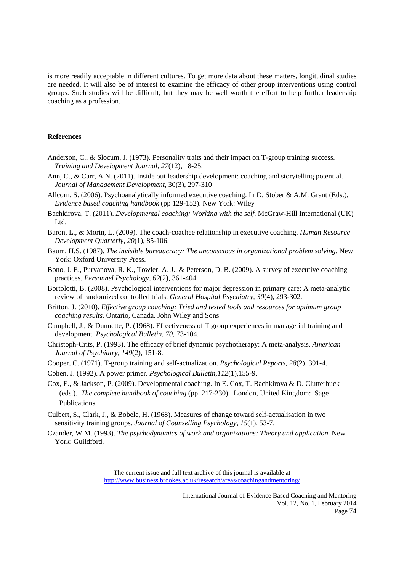is more readily acceptable in different cultures. To get more data about these matters, longitudinal studies are needed. It will also be of interest to examine the efficacy of other group interventions using control groups. Such studies will be difficult, but they may be well worth the effort to help further leadership coaching as a profession.

# **References**

- Anderson, C., & Slocum, J. (1973). Personality traits and their impact on T-group training success. *Training and Development Journal, 27*(12), 18-25.
- Ann, C., & Carr, A.N. (2011). Inside out leadership development: coaching and storytelling potential. *Journal of Management Development*, 30(3), 297-310
- Allcorn, S. (2006). Psychoanalytically informed executive coaching. In D. Stober & A.M. Grant (Eds.), *Evidence based coaching handbook* (pp 129-152). New York: Wiley
- Bachkirova, T. (2011). *Developmental coaching: Working with the self*. McGraw-Hill International (UK) Ltd.
- Baron, L., & Morin, L. (2009). The coach-coachee relationship in executive coaching. *Human Resource Development Quarterly, 20*(1), 85-106.
- Baum, H.S. (1987). *The invisible bureaucracy: The unconscious in organizational problem solving.* New York: Oxford University Press.
- Bono, J. E., Purvanova, R. K., Towler, A. J., & Peterson, D. B. (2009). A survey of executive coaching practices. *Personnel Psychology, 62*(2), 361-404.
- Bortolotti, B. (2008). Psychological interventions for major depression in primary care: A meta-analytic review of randomized controlled trials. *General Hospital Psychiatry, 30*(4), 293-302.
- Britton, J. (2010). *Effective group coaching: Tried and tested tools and resources for optimum group coaching results.* Ontario, Canada. John Wiley and Sons
- Campbell, J., & Dunnette, P. (1968). Effectiveness of T group experiences in managerial training and development. *Psychological Bulletin, 70*, 73-104.
- Christoph-Crits, P. (1993). The efficacy of brief dynamic psychotherapy: A meta-analysis. *American Journal of Psychiatry, 149*(2), 151-8.
- Cooper, C. (1971). T-group training and self-actualization. *Psychological Reports, 28*(2), 391-4.
- Cohen, J. (1992). A power primer. *Psychological Bulletin,112*(1),155-9.
- Cox, E., & Jackson, P. (2009). Developmental coaching. In E. Cox, T. Bachkirova & D. Clutterbuck (eds.). *The complete handbook of coaching* (pp. 217-230)*.* London, United Kingdom: Sage Publications.
- Culbert, S., Clark, J., & Bobele, H. (1968). Measures of change toward self-actualisation in two sensitivity training groups. *Journal of Counselling Psychology, 15*(1), 53-7.
- Czander, W.M. (1993). *The psychodynamics of work and organizations: Theory and application.* New York: Guildford.

The current issue and full text archive of this journal is available at http://www.business.brookes.ac.uk/research/areas/coachingandmentoring/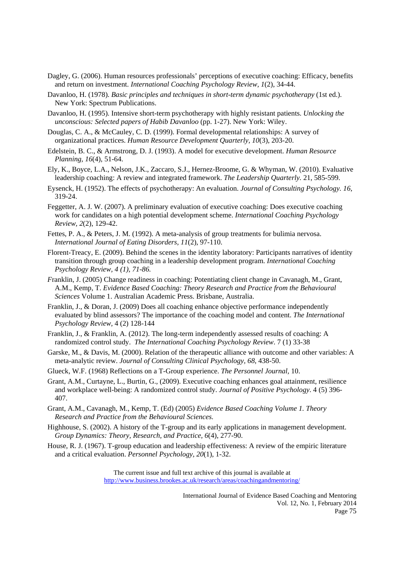- Dagley, G. (2006). Human resources professionals' perceptions of executive coaching: Efficacy, benefits and return on investment. *International Coaching Psychology Review, 1*(2), 34-44.
- Davanloo, H. (1978). *Basic principles and techniques in short-term dynamic psychotherapy* (1st ed.). New York: Spectrum Publications.
- Davanloo, H. (1995). Intensive short-term psychotherapy with highly resistant patients. *Unlocking the unconscious: Selected papers of Habib Davanloo* (pp. 1-27). New York: Wiley.
- Douglas, C. A., & McCauley, C. D. (1999). Formal developmental relationships: A survey of organizational practices. *Human Resource Development Quarterly, 10*(3), 203-20.
- Edelstein, B. C., & Armstrong, D. J. (1993). A model for executive development. *Human Resource Planning, 16*(4), 51-64.
- Ely, K., Boyce, L.A., Nelson, J.K., Zaccaro, S.J., Hernez-Broome, G. & Whyman, W. (2010). Evaluative leadership coaching: A review and integrated framework. *The Leadership Quarterly.* 21, 585-599.
- Eysenck, H. (1952). The effects of psychotherapy: An evaluation. *Journal of Consulting Psychology. 16*, 319-24.
- Feggetter, A. J. W. (2007). A preliminary evaluation of executive coaching: Does executive coaching work for candidates on a high potential development scheme. *International Coaching Psychology Review, 2*(2), 129-42.
- Fettes, P. A., & Peters, J. M. (1992). A meta-analysis of group treatments for bulimia nervosa. *International Journal of Eating Disorders, 11*(2), 97-110.
- Florent-Treacy, E. (2009). Behind the scenes in the identity laboratory: Participants narratives of identity transition through group coaching in a leadership development program. *International Coaching Psychology Review, 4 (1), 71-86.*
- *Franklin, J.* (2005) Change readiness in coaching: Potentiating client change in Cavanagh, M., Grant, A.M., Kemp, T. *Evidence Based Coaching: Theory Research and Practice from the Behavioural Sciences* Volume 1. Australian Academic Press. Brisbane, Australia.
- Franklin, J., & Doran, J. (2009) Does all coaching enhance objective performance independently evaluated by blind assessors? The importance of the coaching model and content. *The International Psychology Review,* 4 (2) 128-144
- Franklin, J., & Franklin, A. (2012). The long-term independently assessed results of coaching: A randomized control study. *The International Coaching Psychology Review*. 7 (1) 33-38
- Garske, M., & Davis, M. (2000). Relation of the therapeutic alliance with outcome and other variables: A meta-analytic review. *Journal of Consulting Clinical Psychology, 68*, 438-50.
- Glueck, W.F. (1968) Reflections on a T-Group experience. *The Personnel Journal,* 10.
- Grant, A.M., Curtayne, L., Burtin, G., (2009). Executive coaching enhances goal attainment, resilience and workplace well-being: A randomized control study. *Journal of Positive Psychology*. 4 (5) 396- 407.
- Grant, A.M., Cavanagh, M., Kemp, T. (Ed) (2005) *Evidence Based Coaching Volume 1. Theory Research and Practice from the Behavioural Sciences.*
- Highhouse, S. (2002). A history of the T-group and its early applications in management development. *Group Dynamics: Theory, Research, and Practice, 6*(4), 277-90.
- House, R. J. (1967). T-group education and leadership effectiveness: A review of the empiric literature and a critical evaluation. *Personnel Psychology, 20*(1), 1-32.

The current issue and full text archive of this journal is available at http://www.business.brookes.ac.uk/research/areas/coachingandmentoring/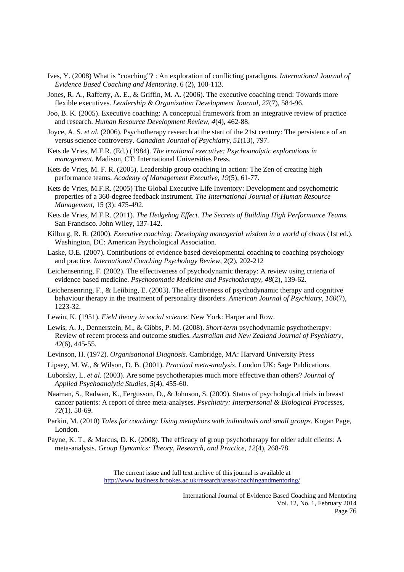- Ives, Y. (2008) What is "coaching"? : An exploration of conflicting paradigms. *International Journal of Evidence Based Coaching and Mentoring*. 6 (2), 100-113.
- Jones, R. A., Rafferty, A. E., & Griffin, M. A. (2006). The executive coaching trend: Towards more flexible executives. *Leadership & Organization Development Journal, 27*(7), 584-96.
- Joo, B. K. (2005). Executive coaching: A conceptual framework from an integrative review of practice and research. *Human Resource Development Review, 4*(4), 462-88.
- Joyce, A. S. *et al.* (2006). Psychotherapy research at the start of the 21st century: The persistence of art versus science controversy. *Canadian Journal of Psychiatry, 51*(13), 797.
- Kets de Vries, M.F.R. (Ed.) (1984). *The irrational executive: Psychoanalytic explorations in management.* Madison, CT: International Universities Press.
- Kets de Vries, M. F. R. (2005). Leadership group coaching in action: The Zen of creating high performance teams. *Academy of Management Executive, 19*(5), 61-77.
- Kets de Vries, M.F.R. (2005) The Global Executive Life Inventory: Development and psychometric properties of a 360-degree feedback instrument. *The International Journal of Human Resource Management*, 15 (3): 475-492.
- Kets de Vries, M.F.R. (2011). *The Hedgehog Effect. The Secrets of Building High Performance Teams.*  San Francisco. John Wiley, 137-142.
- Kilburg, R. R. (2000). *Executive coaching: Developing managerial wisdom in a world of chaos* (1st ed.). Washington, DC: American Psychological Association.
- Laske, O.E. (2007). Contributions of evidence based developmental coaching to coaching psychology and practice. *International Coaching Psychology Review*, 2(2), 202-212
- Leichensenring, F. (2002). The effectiveness of psychodynamic therapy: A review using criteria of evidence based medicine. *Psychosomatic Medicine and Psychotherapy, 48*(2), 139-62.
- Leichensenring, F., & Leiibing, E. (2003). The effectiveness of psychodynamic therapy and cognitive behaviour therapy in the treatment of personality disorders. *American Journal of Psychiatry, 160*(7), 1223-32.
- Lewin, K. (1951). *Field theory in social science*. New York: Harper and Row.
- Lewis, A. J., Dennerstein, M., & Gibbs, P. M. (2008). *Short-term* psychodynamic psychotherapy: Review of recent process and outcome studies. *Australian and New Zealand Journal of Psychiatry, 42*(6), 445-55.
- Levinson, H. (1972). *Organisational Diagnosis*. Cambridge, MA: Harvard University Press
- Lipsey, M. W., & Wilson, D. B. (2001). *Practical meta-analysis*. London UK: Sage Publications.
- Luborsky, L. *et al.* (2003). Are some psychotherapies much more effective than others? *Journal of Applied Psychoanalytic Studies, 5*(4), 455-60.
- Naaman, S., Radwan, K., Fergusson, D., & Johnson, S. (2009). Status of psychological trials in breast cancer patients: A report of three meta-analyses. *Psychiatry: Interpersonal & Biological Processes, 72*(1), 50-69.
- Parkin, M. (2010) *Tales for coaching: Using metaphors with individuals and small groups*. Kogan Page, London.
- Payne, K. T., & Marcus, D. K. (2008). The efficacy of group psychotherapy for older adult clients: A meta-analysis. *Group Dynamics: Theory, Research, and Practice, 12*(4), 268-78.

The current issue and full text archive of this journal is available at http://www.business.brookes.ac.uk/research/areas/coachingandmentoring/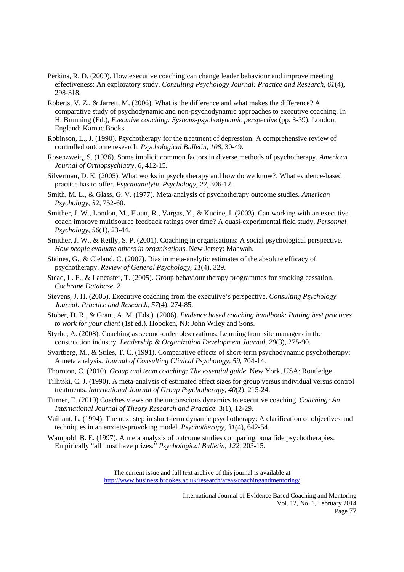- Perkins, R. D. (2009). How executive coaching can change leader behaviour and improve meeting effectiveness: An exploratory study. *Consulting Psychology Journal: Practice and Research, 61*(4), 298-318.
- Roberts, V. Z., & Jarrett, M. (2006). What is the difference and what makes the difference? A comparative study of psychodynamic and non-psychodynamic approaches to executive coaching. In H. Brunning (Ed.), *Executive coaching: Systems-psychodynamic perspective* (pp. 3-39). London, England: Karnac Books.
- Robinson, L., J. (1990). Psychotherapy for the treatment of depression: A comprehensive review of controlled outcome research. *Psychological Bulletin, 108*, 30-49.
- Rosenzweig, S. (1936). Some implicit common factors in diverse methods of psychotherapy. *American Journal of Orthopsychiatry, 6*, 412-15.
- Silverman, D. K. (2005). What works in psychotherapy and how do we know?: What evidence-based practice has to offer. *Psychoanalytic Psychology, 22*, 306-12.
- Smith, M. L., & Glass, G. V. (1977). Meta-analysis of psychotherapy outcome studies. *American Psychology, 32*, 752-60.
- Smither, J. W., London, M., Flautt, R., Vargas, Y., & Kucine, I. (2003). Can working with an executive coach improve multisource feedback ratings over time? A quasi-experimental field study. *Personnel Psychology, 56*(1), 23-44.
- Smither, J. W., & Reilly, S. P. (2001). Coaching in organisations: A social psychological perspective. *How people evaluate others in organisations*. New Jersey: Mahwah.
- Staines, G., & Cleland, C. (2007). Bias in meta-analytic estimates of the absolute efficacy of psychotherapy. *Review of General Psychology, 11*(4), 329.
- Stead, L. F., & Lancaster, T. (2005). Group behaviour therapy programmes for smoking cessation. *Cochrane Database, 2.*
- Stevens, J. H. (2005). Executive coaching from the executive's perspective. *Consulting Psychology Journal: Practice and Research, 57*(4), 274-85.
- Stober, D. R., & Grant, A. M. (Eds.). (2006). *Evidence based coaching handbook: Putting best practices to work for your client* (1st ed.). Hoboken, NJ: John Wiley and Sons.
- Styrhe, A. (2008). Coaching as second-order observations: Learning from site managers in the construction industry. *Leadership & Organization Development Journal, 29*(3), 275-90.
- Svartberg, M., & Stiles, T. C. (1991). Comparative effects of short-term psychodynamic psychotherapy: A meta analysis. *Journal of Consulting Clinical Psychology, 59*, 704-14.
- Thornton, C. (2010). *Group and team coaching: The essential guide*. New York, USA: Routledge.
- Tillitski, C. J. (1990). A meta-analysis of estimated effect sizes for group versus individual versus control treatments. *International Journal of Group Psychotherapy, 40*(2), 215-24.
- Turner, E. (2010) Coaches views on the unconscious dynamics to executive coaching. *Coaching: An International Journal of Theory Research and Practice.* 3(1), 12-29.
- Vaillant, L. (1994). The next step in short-term dynamic psychotherapy: A clarification of objectives and techniques in an anxiety-provoking model. *Psychotherapy, 31*(4), 642-54.
- Wampold, B. E. (1997). A meta analysis of outcome studies comparing bona fide psychotherapies: Empirically "all must have prizes." *Psychological Bulletin, 122*, 203-15.

The current issue and full text archive of this journal is available at http://www.business.brookes.ac.uk/research/areas/coachingandmentoring/